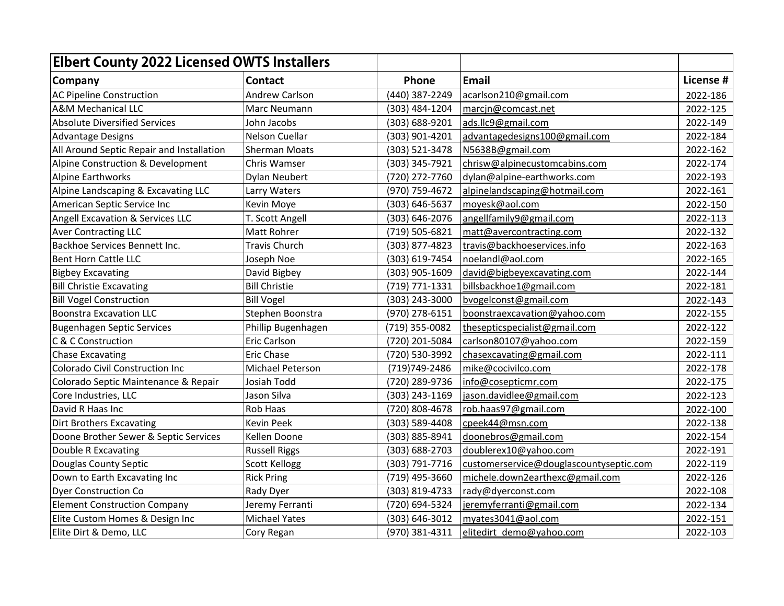| <b>Elbert County 2022 Licensed OWTS Installers</b> |                       |                |                                         |           |
|----------------------------------------------------|-----------------------|----------------|-----------------------------------------|-----------|
| Company                                            | <b>Contact</b>        | Phone          | Email                                   | License # |
| <b>AC Pipeline Construction</b>                    | <b>Andrew Carlson</b> | (440) 387-2249 | acarlson210@gmail.com                   | 2022-186  |
| <b>A&amp;M Mechanical LLC</b>                      | Marc Neumann          | (303) 484-1204 | marcjn@comcast.net                      | 2022-125  |
| <b>Absolute Diversified Services</b>               | John Jacobs           | (303) 688-9201 | ads.llc9@gmail.com                      | 2022-149  |
| <b>Advantage Designs</b>                           | Nelson Cuellar        | (303) 901-4201 | advantagedesigns100@gmail.com           | 2022-184  |
| All Around Septic Repair and Installation          | <b>Sherman Moats</b>  | (303) 521-3478 | N5638B@gmail.com                        | 2022-162  |
| Alpine Construction & Development                  | Chris Wamser          | (303) 345-7921 | chrisw@alpinecustomcabins.com           | 2022-174  |
| <b>Alpine Earthworks</b>                           | Dylan Neubert         | (720) 272-7760 | dylan@alpine-earthworks.com             | 2022-193  |
| Alpine Landscaping & Excavating LLC                | Larry Waters          | (970) 759-4672 | alpinelandscaping@hotmail.com           | 2022-161  |
| American Septic Service Inc                        | Kevin Moye            | (303) 646-5637 | moyesk@aol.com                          | 2022-150  |
| Angell Excavation & Services LLC                   | T. Scott Angell       | (303) 646-2076 | angellfamily9@gmail.com                 | 2022-113  |
| <b>Aver Contracting LLC</b>                        | Matt Rohrer           | (719) 505-6821 | matt@avercontracting.com                | 2022-132  |
| Backhoe Services Bennett Inc.                      | <b>Travis Church</b>  | (303) 877-4823 | travis@backhoeservices.info             | 2022-163  |
| <b>Bent Horn Cattle LLC</b>                        | Joseph Noe            | (303) 619-7454 | noelandl@aol.com                        | 2022-165  |
| <b>Bigbey Excavating</b>                           | David Bigbey          | (303) 905-1609 | david@bigbeyexcavating.com              | 2022-144  |
| <b>Bill Christie Excavating</b>                    | <b>Bill Christie</b>  | (719) 771-1331 | billsbackhoe1@gmail.com                 | 2022-181  |
| <b>Bill Vogel Construction</b>                     | <b>Bill Vogel</b>     | (303) 243-3000 | bvogelconst@gmail.com                   | 2022-143  |
| <b>Boonstra Excavation LLC</b>                     | Stephen Boonstra      | (970) 278-6151 | boonstraexcavation@yahoo.com            | 2022-155  |
| <b>Bugenhagen Septic Services</b>                  | Phillip Bugenhagen    | (719) 355-0082 | thesepticspecialist@gmail.com           | 2022-122  |
| C & C Construction                                 | Eric Carlson          | (720) 201-5084 | carlson80107@yahoo.com                  | 2022-159  |
| <b>Chase Excavating</b>                            | <b>Eric Chase</b>     | (720) 530-3992 | chasexcavating@gmail.com                | 2022-111  |
| <b>Colorado Civil Construction Inc</b>             | Michael Peterson      | (719)749-2486  | mike@cocivilco.com                      | 2022-178  |
| Colorado Septic Maintenance & Repair               | Josiah Todd           | (720) 289-9736 | info@cosepticmr.com                     | 2022-175  |
| Core Industries, LLC                               | Jason Silva           | (303) 243-1169 | jason.davidlee@gmail.com                | 2022-123  |
| David R Haas Inc                                   | Rob Haas              | (720) 808-4678 | rob.haas97@gmail.com                    | 2022-100  |
| Dirt Brothers Excavating                           | Kevin Peek            | (303) 589-4408 | cpeek44@msn.com                         | 2022-138  |
| Doone Brother Sewer & Septic Services              | Kellen Doone          | (303) 885-8941 | doonebros@gmail.com                     | 2022-154  |
| Double R Excavating                                | <b>Russell Riggs</b>  | (303) 688-2703 | doublerex10@yahoo.com                   | 2022-191  |
| Douglas County Septic                              | <b>Scott Kellogg</b>  | (303) 791-7716 | customerservice@douglascountyseptic.com | 2022-119  |
| Down to Earth Excavating Inc                       | <b>Rick Pring</b>     | (719) 495-3660 | michele.down2earthexc@gmail.com         | 2022-126  |
| Dyer Construction Co                               | Rady Dyer             | (303) 819-4733 | rady@dyerconst.com                      | 2022-108  |
| <b>Element Construction Company</b>                | Jeremy Ferranti       | (720) 694-5324 | jeremyferranti@gmail.com                | 2022-134  |
| Elite Custom Homes & Design Inc                    | <b>Michael Yates</b>  | (303) 646-3012 | myates3041@aol.com                      | 2022-151  |
| Elite Dirt & Demo, LLC                             | Cory Regan            | (970) 381-4311 | elitedirt demo@yahoo.com                | 2022-103  |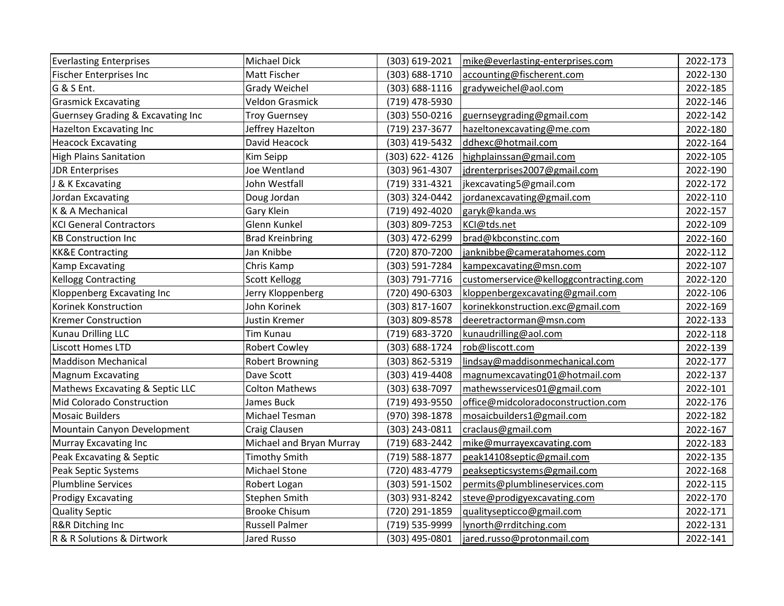| <b>Everlasting Enterprises</b>               | Michael Dick             | (303) 619-2021 | mike@everlasting-enterprises.com       | 2022-173 |
|----------------------------------------------|--------------------------|----------------|----------------------------------------|----------|
| Fischer Enterprises Inc                      | Matt Fischer             | (303) 688-1710 | accounting@fischerent.com              | 2022-130 |
| G & S Ent.                                   | Grady Weichel            | (303) 688-1116 | gradyweichel@aol.com                   | 2022-185 |
| <b>Grasmick Excavating</b>                   | <b>Veldon Grasmick</b>   | (719) 478-5930 |                                        | 2022-146 |
| <b>Guernsey Grading &amp; Excavating Inc</b> | <b>Troy Guernsey</b>     | (303) 550-0216 | guernseygrading@gmail.com              | 2022-142 |
| Hazelton Excavating Inc                      | Jeffrey Hazelton         | (719) 237-3677 | hazeltonexcavating@me.com              | 2022-180 |
| <b>Heacock Excavating</b>                    | David Heacock            | (303) 419-5432 | ddhexc@hotmail.com                     | 2022-164 |
| <b>High Plains Sanitation</b>                | Kim Seipp                | (303) 622-4126 | highplainssan@gmail.com                | 2022-105 |
| <b>JDR Enterprises</b>                       | Joe Wentland             | (303) 961-4307 | jdrenterprises2007@gmail.com           | 2022-190 |
| <b>J &amp; K Excavating</b>                  | John Westfall            | (719) 331-4321 | jkexcavating5@gmail.com                | 2022-172 |
| Jordan Excavating                            | Doug Jordan              | (303) 324-0442 | jordanexcavating@gmail.com             | 2022-110 |
| K & A Mechanical                             | Gary Klein               | (719) 492-4020 | garyk@kanda.ws                         | 2022-157 |
| <b>KCI General Contractors</b>               | Glenn Kunkel             | (303) 809-7253 | KCI@tds.net                            | 2022-109 |
| <b>KB Construction Inc</b>                   | <b>Brad Kreinbring</b>   | (303) 472-6299 | brad@kbconstinc.com                    | 2022-160 |
| <b>KK&amp;E Contracting</b>                  | Jan Knibbe               | (720) 870-7200 | janknibbe@cameratahomes.com            | 2022-112 |
| Kamp Excavating                              | Chris Kamp               | (303) 591-7284 | kampexcavating@msn.com                 | 2022-107 |
| <b>Kellogg Contracting</b>                   | <b>Scott Kellogg</b>     | (303) 791-7716 | customerservice@kelloggcontracting.com | 2022-120 |
| Kloppenberg Excavating Inc                   | Jerry Kloppenberg        | (720) 490-6303 | kloppenbergexcavating@gmail.com        | 2022-106 |
| Korinek Konstruction                         | John Korinek             | (303) 817-1607 | korinekkonstruction.exc@gmail.com      | 2022-169 |
| <b>Kremer Construction</b>                   | Justin Kremer            | (303) 809-8578 | deeretractorman@msn.com                | 2022-133 |
| <b>Kunau Drilling LLC</b>                    | Tim Kunau                | (719) 683-3720 | kunaudrilling@aol.com                  | 2022-118 |
| <b>Liscott Homes LTD</b>                     | <b>Robert Cowley</b>     | (303) 688-1724 | rob@liscott.com                        | 2022-139 |
| <b>Maddison Mechanical</b>                   | <b>Robert Browning</b>   | (303) 862-5319 | lindsay@maddisonmechanical.com         | 2022-177 |
| <b>Magnum Excavating</b>                     | Dave Scott               | (303) 419-4408 | magnumexcavating01@hotmail.com         | 2022-137 |
| Mathews Excavating & Septic LLC              | <b>Colton Mathews</b>    | (303) 638-7097 | mathewsservices01@gmail.com            | 2022-101 |
| Mid Colorado Construction                    | James Buck               | (719) 493-9550 | office@midcoloradoconstruction.com     | 2022-176 |
| <b>Mosaic Builders</b>                       | Michael Tesman           | (970) 398-1878 | mosaicbuilders1@gmail.com              | 2022-182 |
| Mountain Canyon Development                  | Craig Clausen            | (303) 243-0811 | craclaus@gmail.com                     | 2022-167 |
| Murray Excavating Inc                        | Michael and Bryan Murray | (719) 683-2442 | mike@murrayexcavating.com              | 2022-183 |
| Peak Excavating & Septic                     | <b>Timothy Smith</b>     | (719) 588-1877 | peak14108septic@gmail.com              | 2022-135 |
| Peak Septic Systems                          | Michael Stone            | (720) 483-4779 | peaksepticsystems@gmail.com            | 2022-168 |
| <b>Plumbline Services</b>                    | Robert Logan             | (303) 591-1502 | permits@plumblineservices.com          | 2022-115 |
| <b>Prodigy Excavating</b>                    | Stephen Smith            | (303) 931-8242 | steve@prodigyexcavating.com            | 2022-170 |
| <b>Quality Septic</b>                        | <b>Brooke Chisum</b>     | (720) 291-1859 | qualitysepticco@gmail.com              | 2022-171 |
| R&R Ditching Inc                             | <b>Russell Palmer</b>    | (719) 535-9999 | lynorth@rrditching.com                 | 2022-131 |
| R & R Solutions & Dirtwork                   | Jared Russo              | (303) 495-0801 | jared.russo@protonmail.com             | 2022-141 |